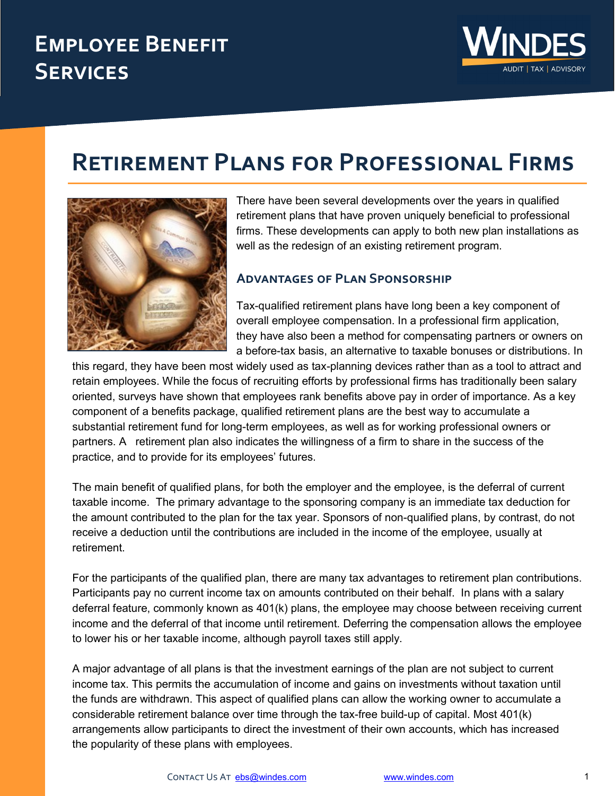## **Employee Benefit Services**



# **Retirement Plans for Professional Firms**



There have been several developments over the years in qualified retirement plans that have proven uniquely beneficial to professional firms. These developments can apply to both new plan installations as well as the redesign of an existing retirement program.

#### **Advantages of Plan Sponsorship**

Tax-qualified retirement plans have long been a key component of overall employee compensation. In a professional firm application, they have also been a method for compensating partners or owners on a before-tax basis, an alternative to taxable bonuses or distributions. In

this regard, they have been most widely used as tax-planning devices rather than as a tool to attract and retain employees. While the focus of recruiting efforts by professional firms has traditionally been salary oriented, surveys have shown that employees rank benefits above pay in order of importance. As a key component of a benefits package, qualified retirement plans are the best way to accumulate a substantial retirement fund for long-term employees, as well as for working professional owners or partners. A retirement plan also indicates the willingness of a firm to share in the success of the practice, and to provide for its employees' futures.

The main benefit of qualified plans, for both the employer and the employee, is the deferral of current taxable income. The primary advantage to the sponsoring company is an immediate tax deduction for the amount contributed to the plan for the tax year. Sponsors of non-qualified plans, by contrast, do not receive a deduction until the contributions are included in the income of the employee, usually at retirement.

For the participants of the qualified plan, there are many tax advantages to retirement plan contributions. Participants pay no current income tax on amounts contributed on their behalf. In plans with a salary deferral feature, commonly known as 401(k) plans, the employee may choose between receiving current income and the deferral of that income until retirement. Deferring the compensation allows the employee to lower his or her taxable income, although payroll taxes still apply.

A major advantage of all plans is that the investment earnings of the plan are not subject to current income tax. This permits the accumulation of income and gains on investments without taxation until the funds are withdrawn. This aspect of qualified plans can allow the working owner to accumulate a considerable retirement balance over time through the tax-free build-up of capital. Most 401(k) arrangements allow participants to direct the investment of their own accounts, which has increased the popularity of these plans with employees.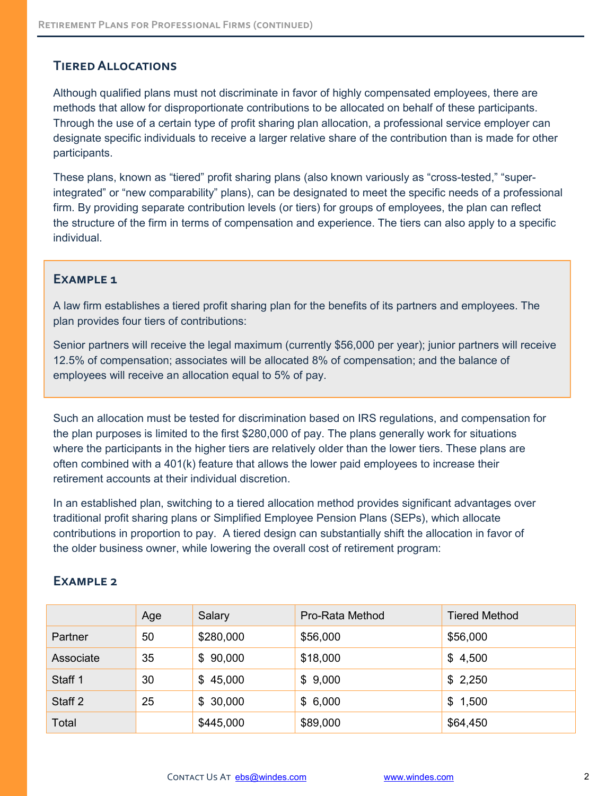## **Tiered Allocations**

Although qualified plans must not discriminate in favor of highly compensated employees, there are methods that allow for disproportionate contributions to be allocated on behalf of these participants. Through the use of a certain type of profit sharing plan allocation, a professional service employer can designate specific individuals to receive a larger relative share of the contribution than is made for other participants.

These plans, known as "tiered" profit sharing plans (also known variously as "cross-tested," "superintegrated" or "new comparability" plans), can be designated to meet the specific needs of a professional firm. By providing separate contribution levels (or tiers) for groups of employees, the plan can reflect the structure of the firm in terms of compensation and experience. The tiers can also apply to a specific individual.

#### EXAMPLE<sub>1</sub>

A law firm establishes a tiered profit sharing plan for the benefits of its partners and employees. The plan provides four tiers of contributions:

Senior partners will receive the legal maximum (currently \$56,000 per year); junior partners will receive 12.5% of compensation; associates will be allocated 8% of compensation; and the balance of employees will receive an allocation equal to 5% of pay.

Such an allocation must be tested for discrimination based on IRS regulations, and compensation for the plan purposes is limited to the first \$280,000 of pay. The plans generally work for situations where the participants in the higher tiers are relatively older than the lower tiers. These plans are often combined with a 401(k) feature that allows the lower paid employees to increase their retirement accounts at their individual discretion.

In an established plan, switching to a tiered allocation method provides significant advantages over traditional profit sharing plans or Simplified Employee Pension Plans (SEPs), which allocate contributions in proportion to pay. A tiered design can substantially shift the allocation in favor of the older business owner, while lowering the overall cost of retirement program:

|           | Age | Salary    | Pro-Rata Method | <b>Tiered Method</b> |
|-----------|-----|-----------|-----------------|----------------------|
| Partner   | 50  | \$280,000 | \$56,000        | \$56,000             |
| Associate | 35  | \$90,000  | \$18,000        | \$4,500              |
| Staff 1   | 30  | \$45,000  | \$9,000         | \$2,250              |
| Staff 2   | 25  | \$30,000  | \$6,000         | \$1,500              |
| Total     |     | \$445,000 | \$89,000        | \$64,450             |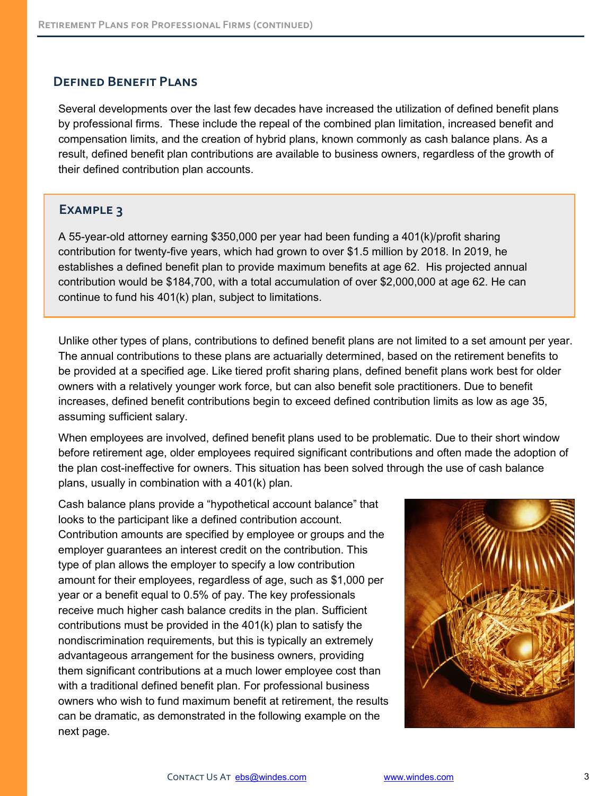#### **Defined Benefit Plans**

Several developments over the last few decades have increased the utilization of defined benefit plans by professional firms. These include the repeal of the combined plan limitation, increased benefit and compensation limits, and the creation of hybrid plans, known commonly as cash balance plans. As a result, defined benefit plan contributions are available to business owners, regardless of the growth of their defined contribution plan accounts.

#### **Example 3**

A 55-year-old attorney earning \$350,000 per year had been funding a 401(k)/profit sharing contribution for twenty-five years, which had grown to over \$1.5 million by 2018. In 2019, he establishes a defined benefit plan to provide maximum benefits at age 62. His projected annual contribution would be \$184,700, with a total accumulation of over \$2,000,000 at age 62. He can continue to fund his 401(k) plan, subject to limitations.

Unlike other types of plans, contributions to defined benefit plans are not limited to a set amount per year. The annual contributions to these plans are actuarially determined, based on the retirement benefits to be provided at a specified age. Like tiered profit sharing plans, defined benefit plans work best for older owners with a relatively younger work force, but can also benefit sole practitioners. Due to benefit increases, defined benefit contributions begin to exceed defined contribution limits as low as age 35, assuming sufficient salary.

When employees are involved, defined benefit plans used to be problematic. Due to their short window before retirement age, older employees required significant contributions and often made the adoption of the plan cost-ineffective for owners. This situation has been solved through the use of cash balance plans, usually in combination with a 401(k) plan.

Cash balance plans provide a "hypothetical account balance" that looks to the participant like a defined contribution account. Contribution amounts are specified by employee or groups and the employer guarantees an interest credit on the contribution. This type of plan allows the employer to specify a low contribution amount for their employees, regardless of age, such as \$1,000 per year or a benefit equal to 0.5% of pay. The key professionals receive much higher cash balance credits in the plan. Sufficient contributions must be provided in the 401(k) plan to satisfy the nondiscrimination requirements, but this is typically an extremely advantageous arrangement for the business owners, providing them significant contributions at a much lower employee cost than with a traditional defined benefit plan. For professional business owners who wish to fund maximum benefit at retirement, the results can be dramatic, as demonstrated in the following example on the next page.